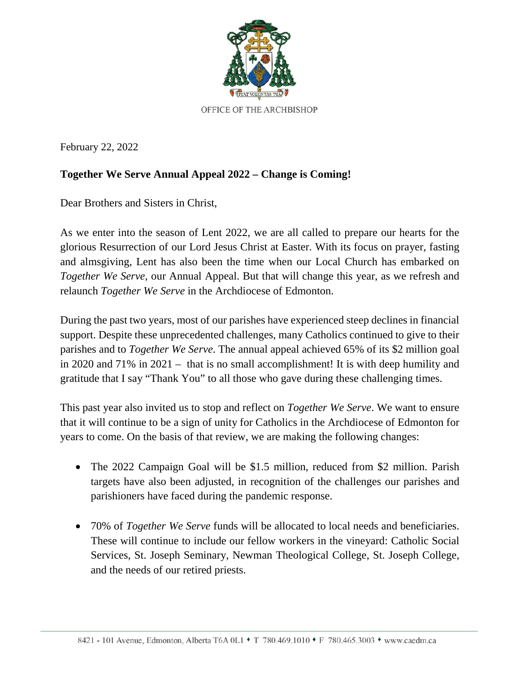

February 22, 2022

## **Together We Serve Annual Appeal 2022 – Change is Coming!**

Dear Brothers and Sisters in Christ,

As we enter into the season of Lent 2022, we are all called to prepare our hearts for the glorious Resurrection of our Lord Jesus Christ at Easter. With its focus on prayer, fasting and almsgiving, Lent has also been the time when our Local Church has embarked on *Together We Serve,* our Annual Appeal. But that will change this year, as we refresh and relaunch *Together We Serve* in the Archdiocese of Edmonton.

During the past two years, most of our parishes have experienced steep declines in financial support. Despite these unprecedented challenges, many Catholics continued to give to their parishes and to *Together We Serve*. The annual appeal achieved 65% of its \$2 million goal in 2020 and 71% in 2021 – that is no small accomplishment! It is with deep humility and gratitude that I say "Thank You" to all those who gave during these challenging times.

This past year also invited us to stop and reflect on *Together We Serve*. We want to ensure that it will continue to be a sign of unity for Catholics in the Archdiocese of Edmonton for years to come. On the basis of that review, we are making the following changes:

- The 2022 Campaign Goal will be \$1.5 million, reduced from \$2 million. Parish targets have also been adjusted, in recognition of the challenges our parishes and parishioners have faced during the pandemic response.
- 70% of *Together We Serve* funds will be allocated to local needs and beneficiaries. These will continue to include our fellow workers in the vineyard: Catholic Social Services, St. Joseph Seminary, Newman Theological College, St. Joseph College, and the needs of our retired priests.